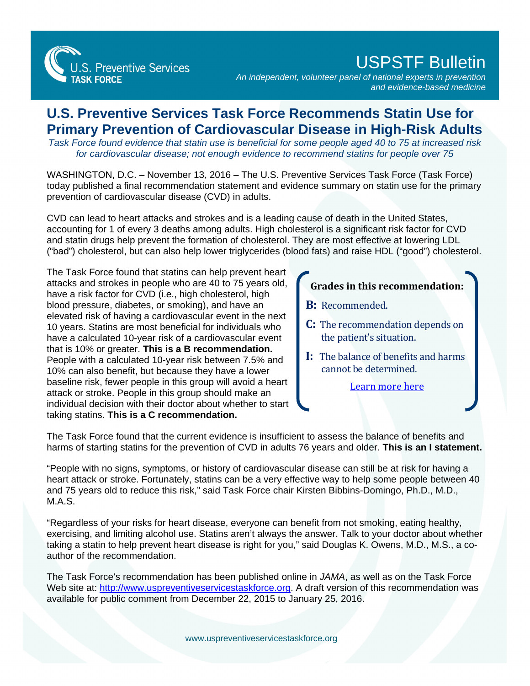

## USPSTF Bulletin

*An independent, volunteer panel of national experts in prevention and evidence-based medicine*

## **U.S. Preventive Services Task Force Recommends Statin Use for Primary Prevention of Cardiovascular Disease in High-Risk Adults**

*Task Force found evidence that statin use is beneficial for some people aged 40 to 75 at increased risk for cardiovascular disease; not enough evidence to recommend statins for people over 75*

WASHINGTON, D.C. – November 13, 2016 – The U.S. Preventive Services Task Force (Task Force) today published a final recommendation statement and evidence summary on statin use for the primary prevention of cardiovascular disease (CVD) in adults.

CVD can lead to heart attacks and strokes and is a leading cause of death in the United States, accounting for 1 of every 3 deaths among adults. High cholesterol is a significant risk factor for CVD and statin drugs help prevent the formation of cholesterol. They are most effective at lowering LDL ("bad") cholesterol, but can also help lower triglycerides (blood fats) and raise HDL ("good") cholesterol.

The Task Force found that statins can help prevent heart attacks and strokes in people who are 40 to 75 years old, have a risk factor for CVD (i.e., high cholesterol, high blood pressure, diabetes, or smoking), and have an elevated risk of having a cardiovascular event in the next 10 years. Statins are most beneficial for individuals who have a calculated 10-year risk of a cardiovascular event that is 10% or greater. **This is a B recommendation.** People with a calculated 10-year risk between 7.5% and 10% can also benefit, but because they have a lower baseline risk, fewer people in this group will avoid a heart attack or stroke. People in this group should make an individual decision with their doctor about whether to start taking statins. **This is a C recommendation.**

## **Grades in this recommendation:**

- **B:** Recommended.
- **C:** The recommendation depends on the patient's situation.
- **I:** The balance of benefits and harms cannot be determined.

[Learn more here](http://www.uspreventiveservicestaskforce.org/Page/Name/grade-definitions)

The Task Force found that the current evidence is insufficient to assess the balance of benefits and harms of starting statins for the prevention of CVD in adults 76 years and older. **This is an I statement.**

"People with no signs, symptoms, or history of cardiovascular disease can still be at risk for having a heart attack or stroke. Fortunately, statins can be a very effective way to help some people between 40 and 75 years old to reduce this risk," said Task Force chair Kirsten Bibbins-Domingo, Ph.D., M.D., M.A.S.

"Regardless of your risks for heart disease, everyone can benefit from not smoking, eating healthy, exercising, and limiting alcohol use. Statins aren't always the answer. Talk to your doctor about whether taking a statin to help prevent heart disease is right for you," said Douglas K. Owens, M.D., M.S., a coauthor of the recommendation.

The Task Force's recommendation has been published online in *JAMA*, as well as on the Task Force Web site at: [http://www.uspreventiveservicestaskforce.org.](http://www.uspreventiveservicestaskforce.org/) A draft version of this recommendation was available for public comment from December 22, 2015 to January 25, 2016.